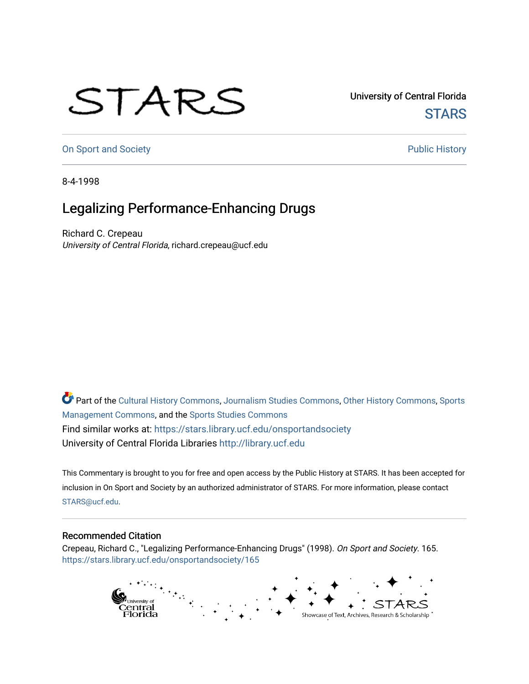## STARS

University of Central Florida **STARS** 

[On Sport and Society](https://stars.library.ucf.edu/onsportandsociety) **Public History** Public History

8-4-1998

## Legalizing Performance-Enhancing Drugs

Richard C. Crepeau University of Central Florida, richard.crepeau@ucf.edu

Part of the [Cultural History Commons](http://network.bepress.com/hgg/discipline/496?utm_source=stars.library.ucf.edu%2Fonsportandsociety%2F165&utm_medium=PDF&utm_campaign=PDFCoverPages), [Journalism Studies Commons,](http://network.bepress.com/hgg/discipline/333?utm_source=stars.library.ucf.edu%2Fonsportandsociety%2F165&utm_medium=PDF&utm_campaign=PDFCoverPages) [Other History Commons,](http://network.bepress.com/hgg/discipline/508?utm_source=stars.library.ucf.edu%2Fonsportandsociety%2F165&utm_medium=PDF&utm_campaign=PDFCoverPages) [Sports](http://network.bepress.com/hgg/discipline/1193?utm_source=stars.library.ucf.edu%2Fonsportandsociety%2F165&utm_medium=PDF&utm_campaign=PDFCoverPages) [Management Commons](http://network.bepress.com/hgg/discipline/1193?utm_source=stars.library.ucf.edu%2Fonsportandsociety%2F165&utm_medium=PDF&utm_campaign=PDFCoverPages), and the [Sports Studies Commons](http://network.bepress.com/hgg/discipline/1198?utm_source=stars.library.ucf.edu%2Fonsportandsociety%2F165&utm_medium=PDF&utm_campaign=PDFCoverPages) Find similar works at: <https://stars.library.ucf.edu/onsportandsociety> University of Central Florida Libraries [http://library.ucf.edu](http://library.ucf.edu/) 

This Commentary is brought to you for free and open access by the Public History at STARS. It has been accepted for inclusion in On Sport and Society by an authorized administrator of STARS. For more information, please contact [STARS@ucf.edu](mailto:STARS@ucf.edu).

## Recommended Citation

Crepeau, Richard C., "Legalizing Performance-Enhancing Drugs" (1998). On Sport and Society. 165. [https://stars.library.ucf.edu/onsportandsociety/165](https://stars.library.ucf.edu/onsportandsociety/165?utm_source=stars.library.ucf.edu%2Fonsportandsociety%2F165&utm_medium=PDF&utm_campaign=PDFCoverPages)

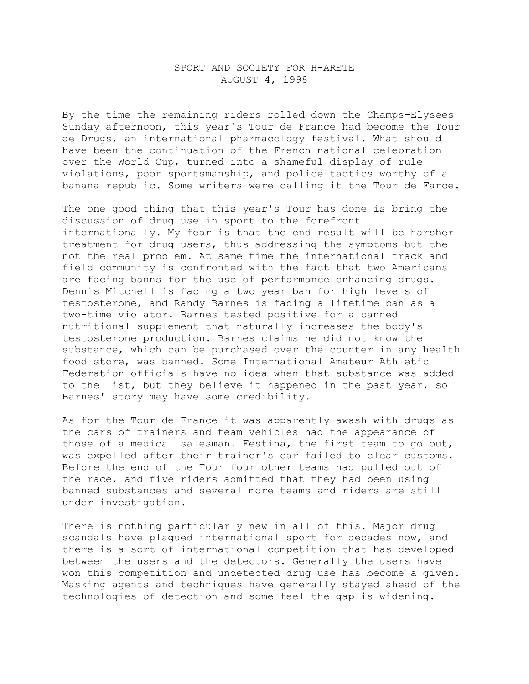## SPORT AND SOCIETY FOR H-ARETE AUGUST 4, 1998

By the time the remaining riders rolled down the Champs-Elysees Sunday afternoon, this year's Tour de France had become the Tour de Drugs, an international pharmacology festival. What should have been the continuation of the French national celebration over the World Cup, turned into a shameful display of rule violations, poor sportsmanship, and police tactics worthy of a banana republic. Some writers were calling it the Tour de Farce.

The one good thing that this year's Tour has done is bring the discussion of drug use in sport to the forefront internationally. My fear is that the end result will be harsher treatment for drug users, thus addressing the symptoms but the not the real problem. At same time the international track and field community is confronted with the fact that two Americans are facing banns for the use of performance enhancing drugs. Dennis Mitchell is facing a two year ban for high levels of testosterone, and Randy Barnes is facing a lifetime ban as a two-time violator. Barnes tested positive for a banned nutritional supplement that naturally increases the body's testosterone production. Barnes claims he did not know the substance, which can be purchased over the counter in any health food store, was banned. Some International Amateur Athletic Federation officials have no idea when that substance was added to the list, but they believe it happened in the past year, so Barnes' story may have some credibility.

As for the Tour de France it was apparently awash with drugs as the cars of trainers and team vehicles had the appearance of those of a medical salesman. Festina, the first team to go out, was expelled after their trainer's car failed to clear customs. Before the end of the Tour four other teams had pulled out of the race, and five riders admitted that they had been using banned substances and several more teams and riders are still under investigation.

There is nothing particularly new in all of this. Major drug scandals have plagued international sport for decades now, and there is a sort of international competition that has developed between the users and the detectors. Generally the users have won this competition and undetected drug use has become a given. Masking agents and techniques have generally stayed ahead of the technologies of detection and some feel the gap is widening.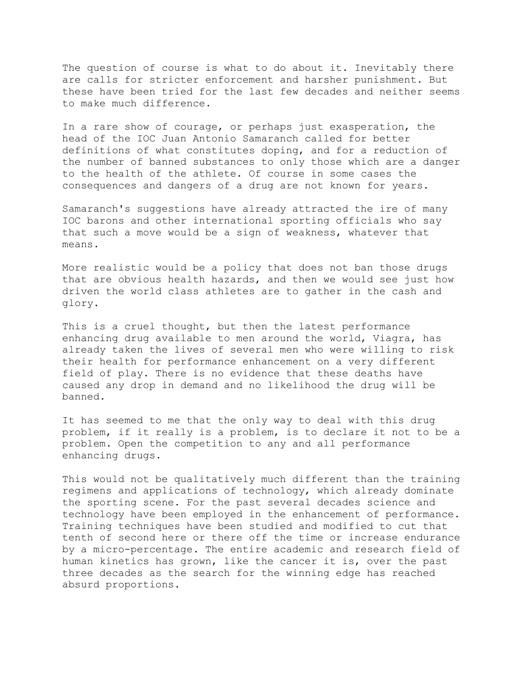The question of course is what to do about it. Inevitably there are calls for stricter enforcement and harsher punishment. But these have been tried for the last few decades and neither seems to make much difference.

In a rare show of courage, or perhaps just exasperation, the head of the IOC Juan Antonio Samaranch called for better definitions of what constitutes doping, and for a reduction of the number of banned substances to only those which are a danger to the health of the athlete. Of course in some cases the consequences and dangers of a drug are not known for years.

Samaranch's suggestions have already attracted the ire of many IOC barons and other international sporting officials who say that such a move would be a sign of weakness, whatever that means.

More realistic would be a policy that does not ban those drugs that are obvious health hazards, and then we would see just how driven the world class athletes are to gather in the cash and glory.

This is a cruel thought, but then the latest performance enhancing drug available to men around the world, Viagra, has already taken the lives of several men who were willing to risk their health for performance enhancement on a very different field of play. There is no evidence that these deaths have caused any drop in demand and no likelihood the drug will be banned.

It has seemed to me that the only way to deal with this drug problem, if it really is a problem, is to declare it not to be a problem. Open the competition to any and all performance enhancing drugs.

This would not be qualitatively much different than the training regimens and applications of technology, which already dominate the sporting scene. For the past several decades science and technology have been employed in the enhancement of performance. Training techniques have been studied and modified to cut that tenth of second here or there off the time or increase endurance by a micro-percentage. The entire academic and research field of human kinetics has grown, like the cancer it is, over the past three decades as the search for the winning edge has reached absurd proportions.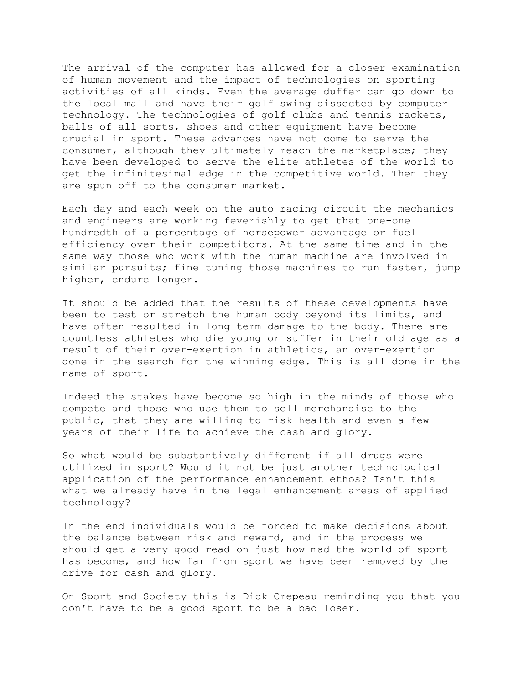The arrival of the computer has allowed for a closer examination of human movement and the impact of technologies on sporting activities of all kinds. Even the average duffer can go down to the local mall and have their golf swing dissected by computer technology. The technologies of golf clubs and tennis rackets, balls of all sorts, shoes and other equipment have become crucial in sport. These advances have not come to serve the consumer, although they ultimately reach the marketplace; they have been developed to serve the elite athletes of the world to get the infinitesimal edge in the competitive world. Then they are spun off to the consumer market.

Each day and each week on the auto racing circuit the mechanics and engineers are working feverishly to get that one-one hundredth of a percentage of horsepower advantage or fuel efficiency over their competitors. At the same time and in the same way those who work with the human machine are involved in similar pursuits; fine tuning those machines to run faster, jump higher, endure longer.

It should be added that the results of these developments have been to test or stretch the human body beyond its limits, and have often resulted in long term damage to the body. There are countless athletes who die young or suffer in their old age as a result of their over-exertion in athletics, an over-exertion done in the search for the winning edge. This is all done in the name of sport.

Indeed the stakes have become so high in the minds of those who compete and those who use them to sell merchandise to the public, that they are willing to risk health and even a few years of their life to achieve the cash and glory.

So what would be substantively different if all drugs were utilized in sport? Would it not be just another technological application of the performance enhancement ethos? Isn't this what we already have in the legal enhancement areas of applied technology?

In the end individuals would be forced to make decisions about the balance between risk and reward, and in the process we should get a very good read on just how mad the world of sport has become, and how far from sport we have been removed by the drive for cash and glory.

On Sport and Society this is Dick Crepeau reminding you that you don't have to be a good sport to be a bad loser.